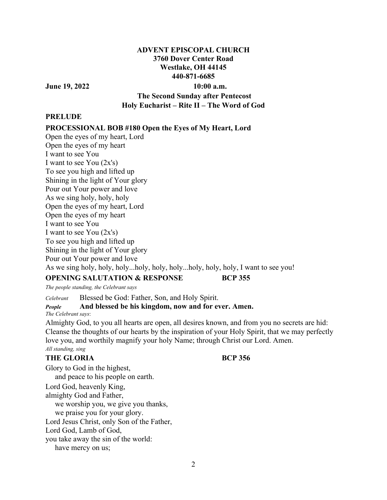# **ADVENT EPISCOPAL CHURCH 3760 Dover Center Road Westlake, OH 44145 440-871-6685**

**June 19, 2022** 10:00 a.m.

# **The Second Sunday after Pentecost Holy Eucharist – Rite II – The Word of God**

## **PRELUDE**

# **PROCESSIONAL BOB #180 Open the Eyes of My Heart, Lord**

Open the eyes of my heart, Lord Open the eyes of my heart I want to see You I want to see You  $(2x's)$ To see you high and lifted up Shining in the light of Your glory Pour out Your power and love As we sing holy, holy, holy Open the eyes of my heart, Lord Open the eyes of my heart I want to see You I want to see You (2x's) To see you high and lifted up Shining in the light of Your glory Pour out Your power and love As we sing holy, holy, holy...holy, holy, holy...holy, holy, holy, I want to see you!

## **OPENING SALUTATION & RESPONSE BCP 355**

*The people standing, the Celebrant says* 

*Celebrant* Blessed be God: Father, Son, and Holy Spirit.

## *People* **And blessed be his kingdom, now and for ever. Amen.**

*The Celebrant says*:

Almighty God, to you all hearts are open, all desires known, and from you no secrets are hid: Cleanse the thoughts of our hearts by the inspiration of your Holy Spirit, that we may perfectly love you, and worthily magnify your holy Name; through Christ our Lord. Amen.

*All standing, sing*

# **THE GLORIA BCP 356**

Glory to God in the highest,

and peace to his people on earth.

Lord God, heavenly King,

almighty God and Father,

we worship you, we give you thanks,

we praise you for your glory.

Lord Jesus Christ, only Son of the Father,

Lord God, Lamb of God,

you take away the sin of the world:

have mercy on us;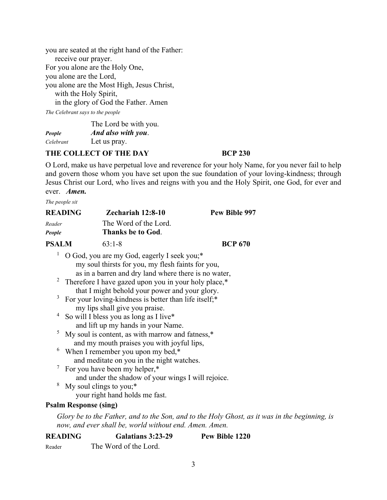you are seated at the right hand of the Father: receive our prayer. For you alone are the Holy One, you alone are the Lord, you alone are the Most High, Jesus Christ, with the Holy Spirit, in the glory of God the Father. Amen

*The Celebrant says to the people* 

 The Lord be with you. *People And also with you*. *Celebrant* Let us pray.

## THE COLLECT OF THE DAY **BCP 230**

O Lord, make us have perpetual love and reverence for your holy Name, for you never fail to help and govern those whom you have set upon the sue foundation of your loving-kindness; through Jesus Christ our Lord, who lives and reigns with you and the Holy Spirit, one God, for ever and ever. *Amen.*

*The people sit* 

| <b>READING</b> | Zechariah 12:8-10                                                                                                                                        | Pew Bible 997  |
|----------------|----------------------------------------------------------------------------------------------------------------------------------------------------------|----------------|
| Reader         | The Word of the Lord.                                                                                                                                    |                |
| People         | <b>Thanks be to God.</b>                                                                                                                                 |                |
| <b>PSALM</b>   | $63:1-8$                                                                                                                                                 | <b>BCP 670</b> |
|                | O God, you are my God, eagerly I seek you;*<br>my soul thirsts for you, my flesh faints for you,<br>as in a barren and dry land where there is no water, |                |
|                | <sup>2</sup> Therefore I have gazed upon you in your holy place, $*$<br>that I might behold your power and your glory.                                   |                |
|                | <sup>3</sup> For your loving-kindness is better than life itself;*<br>my lips shall give you praise.                                                     |                |
|                | $\pi$ So will I bless you as long as I live                                                                                                              |                |

- So will I bless you as long as I live\* and lift up my hands in your Name.
- <sup>5</sup> My soul is content, as with marrow and fatness,\* and my mouth praises you with joyful lips,
- <sup>6</sup> When I remember you upon my bed,\* and meditate on you in the night watches.
- $7$  For you have been my helper, $*$ and under the shadow of your wings I will rejoice.
- <sup>8</sup> My soul clings to you;\*
	- your right hand holds me fast.

## **Psalm Response (sing)**

*Glory be to the Father, and to the Son, and to the Holy Ghost, as it was in the beginning, is now, and ever shall be, world without end. Amen. Amen.* 

| READING | Galatians 3:23-29 | Pew Bible 1220 |  |
|---------|-------------------|----------------|--|
|         |                   |                |  |

Reader The Word of the Lord.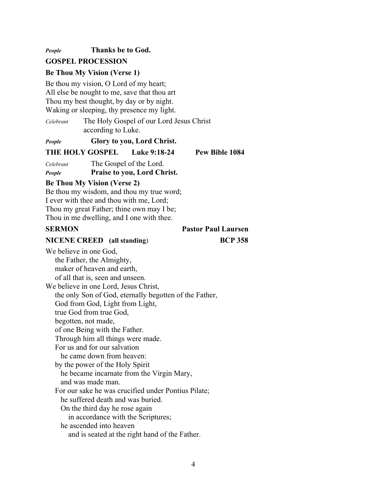## *People* **Thanks be to God.**

**GOSPEL PROCESSION** 

## **Be Thou My Vision (Verse 1)**

Be thou my vision, O Lord of my heart; All else be nought to me, save that thou art Thou my best thought, by day or by night. Waking or sleeping, thy presence my light.

*Celebrant* The Holy Gospel of our Lord Jesus Christ according to Luke.

*People* **Glory to you, Lord Christ.**

**THE HOLY GOSPEL Luke 9:18-24 Pew Bible 1084** 

*Celebrant* The Gospel of the Lord. *People* **Praise to you, Lord Christ.** 

## **Be Thou My Vision (Verse 2)**

Be thou my wisdom, and thou my true word; I ever with thee and thou with me, Lord; Thou my great Father; thine own may I be; Thou in me dwelling, and I one with thee.

# **SERMON Pastor Paul Laursen**

## **NICENE CREED (all standing**) **BCP 358**

We believe in one God, the Father, the Almighty, maker of heaven and earth, of all that is, seen and unseen. We believe in one Lord, Jesus Christ, the only Son of God, eternally begotten of the Father, God from God, Light from Light, true God from true God, begotten, not made, of one Being with the Father. Through him all things were made. For us and for our salvation he came down from heaven: by the power of the Holy Spirit he became incarnate from the Virgin Mary, and was made man. For our sake he was crucified under Pontius Pilate; he suffered death and was buried. On the third day he rose again in accordance with the Scriptures; he ascended into heaven and is seated at the right hand of the Father.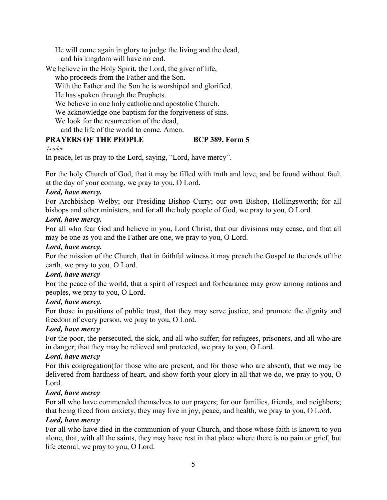He will come again in glory to judge the living and the dead, and his kingdom will have no end.

We believe in the Holy Spirit, the Lord, the giver of life,

who proceeds from the Father and the Son.

With the Father and the Son he is worshiped and glorified.

He has spoken through the Prophets.

We believe in one holy catholic and apostolic Church.

We acknowledge one baptism for the forgiveness of sins.

We look for the resurrection of the dead,

and the life of the world to come. Amen.

# **PRAYERS OF THE PEOPLE BCP 389, Form 5**

## *Leader*

In peace, let us pray to the Lord, saying, "Lord, have mercy".

For the holy Church of God, that it may be filled with truth and love, and be found without fault at the day of your coming, we pray to you, O Lord.

# *Lord, have mercy.*

For Archbishop Welby; our Presiding Bishop Curry; our own Bishop, Hollingsworth; for all bishops and other ministers, and for all the holy people of God, we pray to you, O Lord.

# *Lord, have mercy.*

For all who fear God and believe in you, Lord Christ, that our divisions may cease, and that all may be one as you and the Father are one, we pray to you, O Lord.

# *Lord, have mercy.*

For the mission of the Church, that in faithful witness it may preach the Gospel to the ends of the earth, we pray to you, O Lord.

# *Lord, have mercy*

For the peace of the world, that a spirit of respect and forbearance may grow among nations and peoples, we pray to you, O Lord.

# *Lord, have mercy.*

For those in positions of public trust, that they may serve justice, and promote the dignity and freedom of every person, we pray to you, O Lord.

# *Lord, have mercy*

For the poor, the persecuted, the sick, and all who suffer; for refugees, prisoners, and all who are in danger; that they may be relieved and protected, we pray to you, O Lord.

# *Lord, have mercy*

For this congregation(for those who are present, and for those who are absent), that we may be delivered from hardness of heart, and show forth your glory in all that we do, we pray to you, O Lord.

# *Lord, have mercy*

For all who have commended themselves to our prayers; for our families, friends, and neighbors; that being freed from anxiety, they may live in joy, peace, and health, we pray to you, O Lord.

## *Lord, have mercy*

For all who have died in the communion of your Church, and those whose faith is known to you alone, that, with all the saints, they may have rest in that place where there is no pain or grief, but life eternal, we pray to you, O Lord.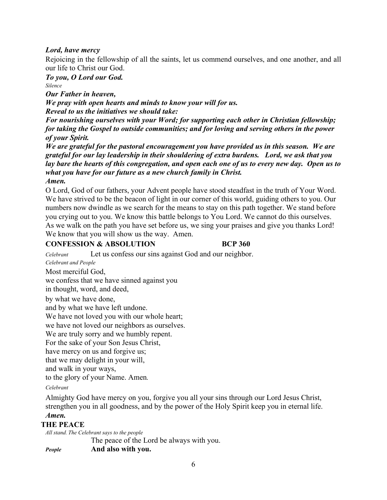# *Lord, have mercy*

Rejoicing in the fellowship of all the saints, let us commend ourselves, and one another, and all our life to Christ our God.

# *To you, O Lord our God.*

*Silence* 

*Our Father in heaven,* 

*We pray with open hearts and minds to know your will for us. Reveal to us the initiatives we should take:* 

*For nourishing ourselves with your Word; for supporting each other in Christian fellowship; for taking the Gospel to outside communities; and for loving and serving others in the power of your Spirit.* 

*We are grateful for the pastoral encouragement you have provided us in this season. We are grateful for our lay leadership in their shouldering of extra burdens. Lord, we ask that you lay bare the hearts of this congregation, and open each one of us to every new day. Open us to what you have for our future as a new church family in Christ. Amen.* 

O Lord, God of our fathers, your Advent people have stood steadfast in the truth of Your Word. We have strived to be the beacon of light in our corner of this world, guiding others to you. Our numbers now dwindle as we search for the means to stay on this path together. We stand before you crying out to you. We know this battle belongs to You Lord. We cannot do this ourselves. As we walk on the path you have set before us, we sing your praises and give you thanks Lord! We know that you will show us the way. Amen.

## **CONFESSION & ABSOLUTION BCP 360**

*Celebrant* Let us confess our sins against God and our neighbor.

*Celebrant and People*

Most merciful God,

we confess that we have sinned against you

in thought, word, and deed,

by what we have done,

and by what we have left undone.

We have not loved you with our whole heart;

we have not loved our neighbors as ourselves.

We are truly sorry and we humbly repent.

For the sake of your Son Jesus Christ,

have mercy on us and forgive us;

that we may delight in your will,

and walk in your ways,

to the glory of your Name. Amen*.*

## *Celebrant*

Almighty God have mercy on you, forgive you all your sins through our Lord Jesus Christ, strengthen you in all goodness, and by the power of the Holy Spirit keep you in eternal life. *Amen.*

# **THE PEACE**

*All stand. The Celebrant says to the people*

The peace of the Lord be always with you.

*People* **And also with you.**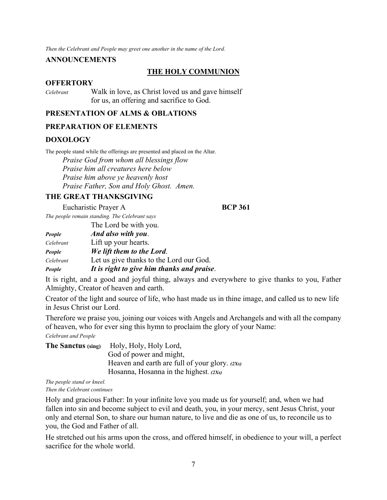*Then the Celebrant and People may greet one another in the name of the Lord.*

## **ANNOUNCEMENTS**

## **THE HOLY COMMUNION**

## **OFFERTORY**

*Celebrant*Walk in love, as Christ loved us and gave himself for us, an offering and sacrifice to God.

## **PRESENTATION OF ALMS & OBLATIONS**

## **PREPARATION OF ELEMENTS**

## **DOXOLOGY**

The people stand while the offerings are presented and placed on the Altar.

 *Praise God from whom all blessings flow Praise him all creatures here below Praise him above ye heavenly host Praise Father, Son and Holy Ghost. Amen.* 

## **THE GREAT THANKSGIVING**

Eucharistic Prayer A **BCP 361** 

*The people remain standing. The Celebrant says* 

|           | The Lord be with you.                      |
|-----------|--------------------------------------------|
| People    | And also with you.                         |
| Celebrant | Lift up your hearts.                       |
| People    | We lift them to the Lord.                  |
| Celebrant | Let us give thanks to the Lord our God.    |
| People    | It is right to give him thanks and praise. |

It is right, and a good and joyful thing, always and everywhere to give thanks to you, Father Almighty, Creator of heaven and earth.

Creator of the light and source of life, who hast made us in thine image, and called us to new life in Jesus Christ our Lord.

Therefore we praise you, joining our voices with Angels and Archangels and with all the company of heaven, who for ever sing this hymn to proclaim the glory of your Name:

*Celebrant and People* 

**The Sanctus (sing)** Holy, Holy, Holy Lord, God of power and might, Heaven and earth are full of your glory. *(2Xs)*  Hosanna, Hosanna in the highest. *(2Xs)*

*The people stand or kneel.* 

*Then the Celebrant continues* 

Holy and gracious Father: In your infinite love you made us for yourself; and, when we had fallen into sin and become subject to evil and death, you, in your mercy, sent Jesus Christ, your only and eternal Son, to share our human nature, to live and die as one of us, to reconcile us to you, the God and Father of all.

He stretched out his arms upon the cross, and offered himself, in obedience to your will, a perfect sacrifice for the whole world.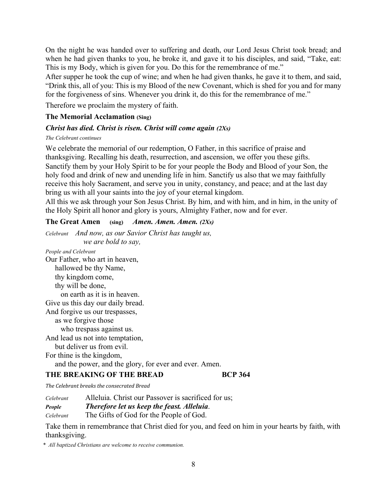On the night he was handed over to suffering and death, our Lord Jesus Christ took bread; and when he had given thanks to you, he broke it, and gave it to his disciples, and said, "Take, eat: This is my Body, which is given for you. Do this for the remembrance of me."

After supper he took the cup of wine; and when he had given thanks, he gave it to them, and said, "Drink this, all of you: This is my Blood of the new Covenant, which is shed for you and for many for the forgiveness of sins. Whenever you drink it, do this for the remembrance of me."

Therefore we proclaim the mystery of faith.

# **The Memorial Acclamation (Sing)**

# *Christ has died. Christ is risen. Christ will come again (2Xs)*

## *The Celebrant continues*

We celebrate the memorial of our redemption, O Father, in this sacrifice of praise and thanksgiving. Recalling his death, resurrection, and ascension, we offer you these gifts. Sanctify them by your Holy Spirit to be for your people the Body and Blood of your Son, the holy food and drink of new and unending life in him. Sanctify us also that we may faithfully receive this holy Sacrament, and serve you in unity, constancy, and peace; and at the last day bring us with all your saints into the joy of your eternal kingdom.

All this we ask through your Son Jesus Christ. By him, and with him, and in him, in the unity of the Holy Spirit all honor and glory is yours, Almighty Father, now and for ever.

## **The Great Amen (sing)** *Amen. Amen. Amen. (2Xs)*

*Celebrant And now, as our Savior Christ has taught us, we are bold to say,* 

*People and Celebrant*  Our Father, who art in heaven, hallowed be thy Name, thy kingdom come, thy will be done, on earth as it is in heaven. Give us this day our daily bread. And forgive us our trespasses, as we forgive those who trespass against us. And lead us not into temptation, but deliver us from evil. For thine is the kingdom, and the power, and the glory, for ever and ever. Amen.

## **THE BREAKING OF THE BREAD BCP 364**

*The Celebrant breaks the consecrated Bread*

*Celebrant* Alleluia. Christ our Passover is sacrificed for us; *People Therefore let us keep the feast. Alleluia*.

*Celebrant* The Gifts of God for the People of God.

Take them in remembrance that Christ died for you, and feed on him in your hearts by faith, with thanksgiving.

*\* All baptized Christians are welcome to receive communion.*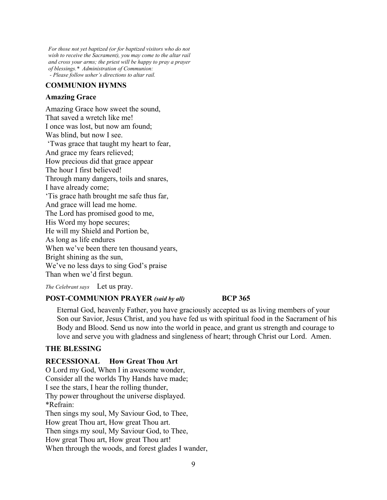*For those not yet baptized (or for baptized visitors who do not wish to receive the Sacrament), you may come to the altar rail and cross your arms; the priest will be happy to pray a prayer of blessings.\* Administration of Communion: - Please follow usher's directions to altar rail.* 

## **COMMUNION HYMNS**

## **Amazing Grace**

Amazing Grace how sweet the sound, That saved a wretch like me! I once was lost, but now am found; Was blind, but now I see. 'Twas grace that taught my heart to fear, And grace my fears relieved; How precious did that grace appear The hour I first believed! Through many dangers, toils and snares, I have already come; 'Tis grace hath brought me safe thus far, And grace will lead me home. The Lord has promised good to me, His Word my hope secures; He will my Shield and Portion be, As long as life endures When we've been there ten thousand years, Bright shining as the sun, We've no less days to sing God's praise Than when we'd first begun.

*The Celebrant says* Let us pray.

## **POST-COMMUNION PRAYER** *(said by all)* **BCP 365**

Eternal God, heavenly Father, you have graciously accepted us as living members of your Son our Savior, Jesus Christ, and you have fed us with spiritual food in the Sacrament of his Body and Blood. Send us now into the world in peace, and grant us strength and courage to love and serve you with gladness and singleness of heart; through Christ our Lord. Amen.

## **THE BLESSING**

## **RECESSIONAL How Great Thou Art**

O Lord my God, When I in awesome wonder, Consider all the worlds Thy Hands have made; I see the stars, I hear the rolling thunder, Thy power throughout the universe displayed. \*Refrain: Then sings my soul, My Saviour God, to Thee, How great Thou art, How great Thou art. Then sings my soul, My Saviour God, to Thee, How great Thou art, How great Thou art! When through the woods, and forest glades I wander,